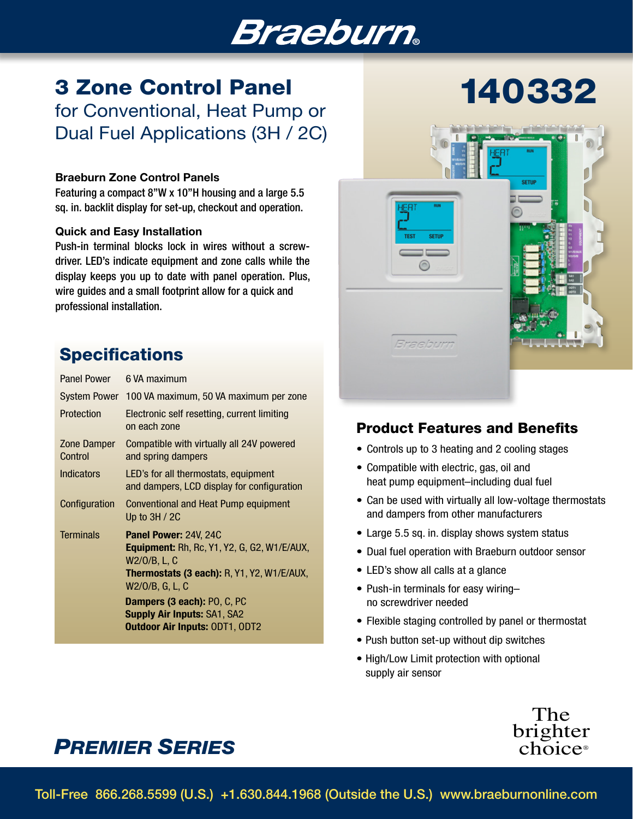# **Braeburn**

# 3 Zone Control Panel for Conventional, Heat Pump or Dual Fuel Applications (3H / 2C)

### Braeburn Zone Control Panels

Featuring a compact 8"W x 10"H housing and a large 5.5 sq. in. backlit display for set-up, checkout and operation.

### Quick and Easy Installation

Push-in terminal blocks lock in wires without a screwdriver. LED's indicate equipment and zone calls while the display keeps you up to date with panel operation. Plus, wire guides and a small footprint allow for a quick and professional installation.

# **Specifications**

| <b>Panel Power</b>     | 6 VA maximum                                                                                                                                                                                                                                                                      |
|------------------------|-----------------------------------------------------------------------------------------------------------------------------------------------------------------------------------------------------------------------------------------------------------------------------------|
| System Power           | 100 VA maximum, 50 VA maximum per zone                                                                                                                                                                                                                                            |
| Protection             | Electronic self resetting, current limiting<br>on each zone                                                                                                                                                                                                                       |
| Zone Damper<br>Control | Compatible with virtually all 24V powered<br>and spring dampers                                                                                                                                                                                                                   |
| <b>Indicators</b>      | LED's for all thermostats, equipment<br>and dampers, LCD display for configuration                                                                                                                                                                                                |
| Configuration          | Conventional and Heat Pump equipment<br>Up to $3H/2C$                                                                                                                                                                                                                             |
| <b>Terminals</b>       | Panel Power: 24V, 24C<br><b>Equipment: Rh, Rc, Y1, Y2, G, G2, W1/E/AUX,</b><br>W2/0/B, L, C<br><b>Thermostats (3 each):</b> R, Y1, Y2, W1/E/AUX,<br>W2/0/B, G, L, C<br>Dampers (3 each): PO, C, PC<br><b>Supply Air Inputs: SA1, SA2</b><br><b>Outdoor Air Inputs: ODT1, ODT2</b> |



### Product Features and Benefits

- Controls up to 3 heating and 2 cooling stages
- Compatible with electric, gas, oil and heat pump equipment–including dual fuel
- Can be used with virtually all low-voltage thermostats and dampers from other manufacturers
- Large 5.5 sq. in. display shows system status
- Dual fuel operation with Braeburn outdoor sensor
- LED's show all calls at a glance
- Push-in terminals for easy wiring– no screwdriver needed
- Flexible staging controlled by panel or thermostat
- Push button set-up without dip switches
- High/Low Limit protection with optional supply air sensor



# *PREMIER SERIES*